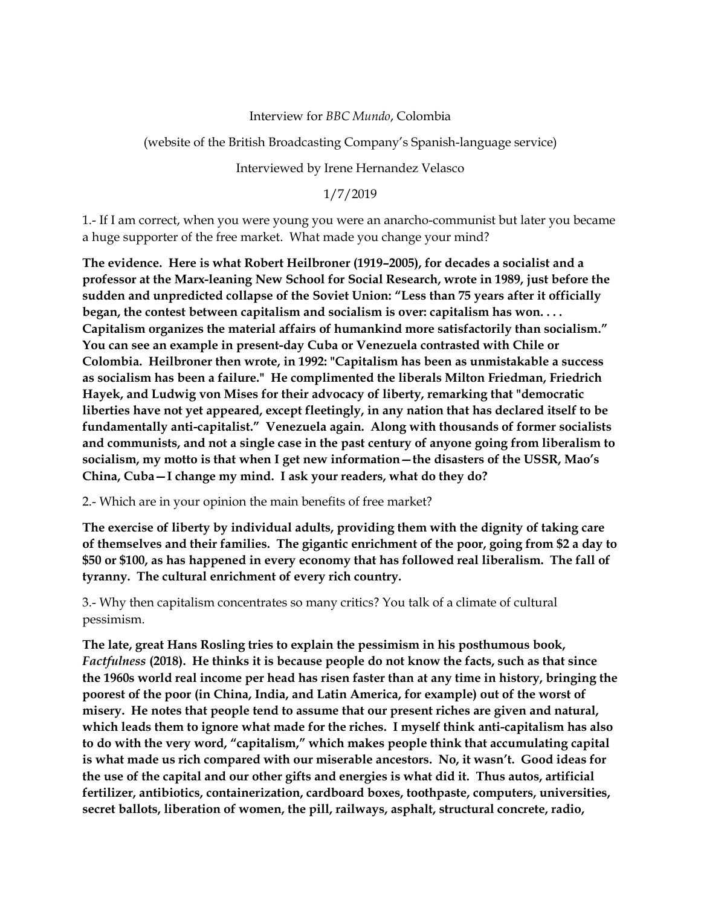## Interview for *BBC Mundo*, Colombia

(website of the British Broadcasting Company's Spanish-language service)

## Interviewed by Irene Hernandez Velasco

1/7/2019

1.- If I am correct, when you were young you were an anarcho-communist but later you became a huge supporter of the free market. What made you change your mind?

**The evidence. Here is what Robert Heilbroner (1919–2005), for decades a socialist and a professor at the Marx-leaning New School for Social Research, wrote in 1989, just before the sudden and unpredicted collapse of the Soviet Union: "Less than 75 years after it officially began, the contest between capitalism and socialism is over: capitalism has won. . . . Capitalism organizes the material affairs of humankind more satisfactorily than socialism." You can see an example in present-day Cuba or Venezuela contrasted with Chile or Colombia. Heilbroner then wrote, in 1992: "Capitalism has been as unmistakable a success as socialism has been a failure." He complimented the liberals Milton Friedman, Friedrich Hayek, and Ludwig von Mises for their advocacy of liberty, remarking that "democratic liberties have not yet appeared, except fleetingly, in any nation that has declared itself to be fundamentally anti-capitalist." Venezuela again. Along with thousands of former socialists and communists, and not a single case in the past century of anyone going from liberalism to socialism, my motto is that when I get new information—the disasters of the USSR, Mao's China, Cuba—I change my mind. I ask your readers, what do they do?**

2.- Which are in your opinion the main benefits of free market?

**The exercise of liberty by individual adults, providing them with the dignity of taking care of themselves and their families. The gigantic enrichment of the poor, going from \$2 a day to \$50 or \$100, as has happened in every economy that has followed real liberalism. The fall of tyranny. The cultural enrichment of every rich country.**

3.- Why then capitalism concentrates so many critics? You talk of a climate of cultural pessimism.

**The late, great Hans Rosling tries to explain the pessimism in his posthumous book,**  *Factfulness* **(2018). He thinks it is because people do not know the facts, such as that since the 1960s world real income per head has risen faster than at any time in history, bringing the poorest of the poor (in China, India, and Latin America, for example) out of the worst of misery. He notes that people tend to assume that our present riches are given and natural, which leads them to ignore what made for the riches. I myself think anti-capitalism has also to do with the very word, "capitalism," which makes people think that accumulating capital is what made us rich compared with our miserable ancestors. No, it wasn't. Good ideas for the use of the capital and our other gifts and energies is what did it. Thus autos, artificial fertilizer, antibiotics, containerization, cardboard boxes, toothpaste, computers, universities, secret ballots, liberation of women, the pill, railways, asphalt, structural concrete, radio,**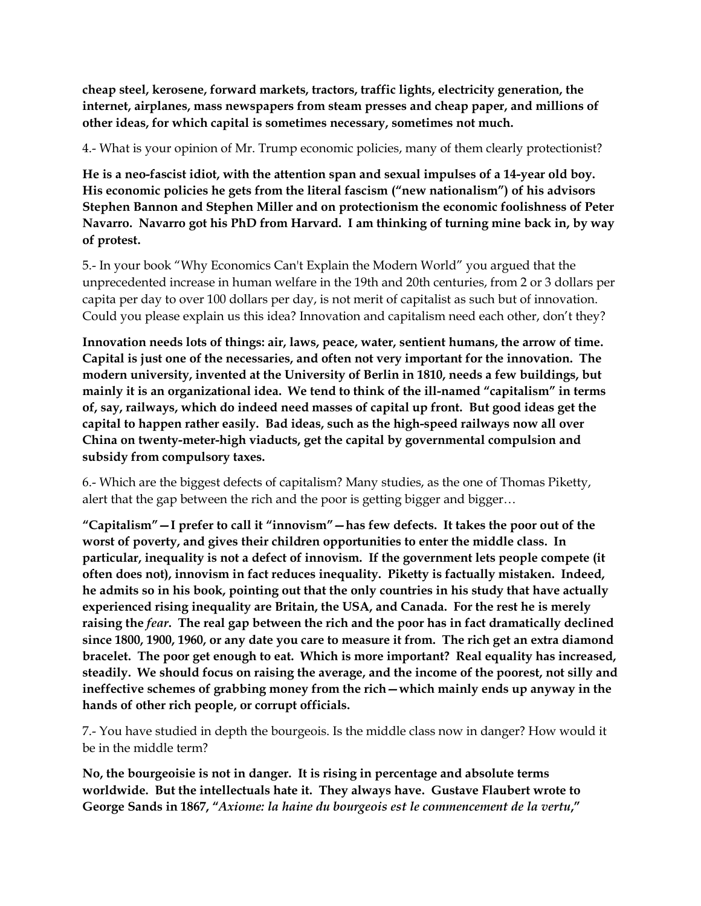**cheap steel, kerosene, forward markets, tractors, traffic lights, electricity generation, the internet, airplanes, mass newspapers from steam presses and cheap paper, and millions of other ideas, for which capital is sometimes necessary, sometimes not much.**

4.- What is your opinion of Mr. Trump economic policies, many of them clearly protectionist?

**He is a neo-fascist idiot, with the attention span and sexual impulses of a 14-year old boy. His economic policies he gets from the literal fascism ("new nationalism") of his advisors Stephen Bannon and Stephen Miller and on protectionism the economic foolishness of Peter Navarro. Navarro got his PhD from Harvard. I am thinking of turning mine back in, by way of protest.**

5.- In your book "Why Economics Can't Explain the Modern World" you argued that the unprecedented increase in human welfare in the 19th and 20th centuries, from 2 or 3 dollars per capita per day to over 100 dollars per day, is not merit of capitalist as such but of innovation. Could you please explain us this idea? Innovation and capitalism need each other, don't they?

**Innovation needs lots of things: air, laws, peace, water, sentient humans, the arrow of time. Capital is just one of the necessaries, and often not very important for the innovation. The modern university, invented at the University of Berlin in 1810, needs a few buildings, but mainly it is an organizational idea. We tend to think of the ill-named "capitalism" in terms of, say, railways, which do indeed need masses of capital up front. But good ideas get the capital to happen rather easily. Bad ideas, such as the high-speed railways now all over China on twenty-meter-high viaducts, get the capital by governmental compulsion and subsidy from compulsory taxes.**

6.- Which are the biggest defects of capitalism? Many studies, as the one of Thomas Piketty, alert that the gap between the rich and the poor is getting bigger and bigger…

**"Capitalism"—I prefer to call it "innovism"—has few defects. It takes the poor out of the worst of poverty, and gives their children opportunities to enter the middle class. In particular, inequality is not a defect of innovism. If the government lets people compete (it often does not), innovism in fact reduces inequality. Piketty is factually mistaken. Indeed, he admits so in his book, pointing out that the only countries in his study that have actually experienced rising inequality are Britain, the USA, and Canada. For the rest he is merely raising the** *fear***. The real gap between the rich and the poor has in fact dramatically declined since 1800, 1900, 1960, or any date you care to measure it from. The rich get an extra diamond bracelet. The poor get enough to eat. Which is more important? Real equality has increased, steadily. We should focus on raising the average, and the income of the poorest, not silly and ineffective schemes of grabbing money from the rich—which mainly ends up anyway in the hands of other rich people, or corrupt officials.**

7.- You have studied in depth the bourgeois. Is the middle class now in danger? How would it be in the middle term?

**No, the bourgeoisie is not in danger. It is rising in percentage and absolute terms worldwide. But the intellectuals hate it. They always have. Gustave Flaubert wrote to George Sands in 1867, "***Axiome: la haine du bourgeois est le commencement de la vertu***,"**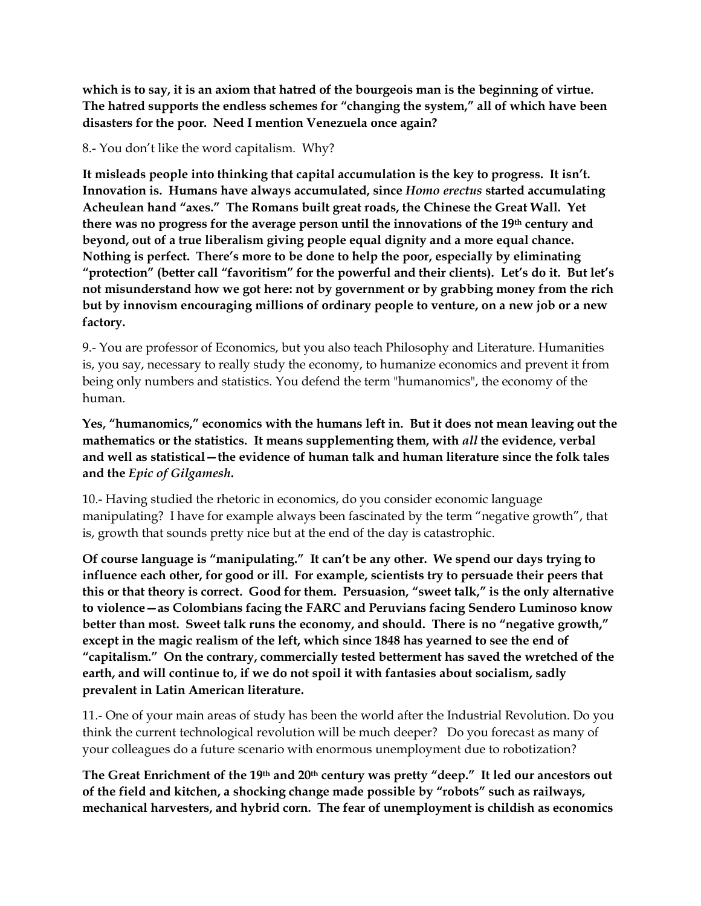**which is to say, it is an axiom that hatred of the bourgeois man is the beginning of virtue. The hatred supports the endless schemes for "changing the system," all of which have been disasters for the poor. Need I mention Venezuela once again?**

8.- You don't like the word capitalism. Why?

**It misleads people into thinking that capital accumulation is the key to progress. It isn't. Innovation is. Humans have always accumulated, since** *Homo erectus* **started accumulating Acheulean hand "axes." The Romans built great roads, the Chinese the Great Wall. Yet there was no progress for the average person until the innovations of the 19th century and beyond, out of a true liberalism giving people equal dignity and a more equal chance. Nothing is perfect. There's more to be done to help the poor, especially by eliminating "protection" (better call "favoritism" for the powerful and their clients). Let's do it. But let's not misunderstand how we got here: not by government or by grabbing money from the rich but by innovism encouraging millions of ordinary people to venture, on a new job or a new factory.**

9.- You are professor of Economics, but you also teach Philosophy and Literature. Humanities is, you say, necessary to really study the economy, to humanize economics and prevent it from being only numbers and statistics. You defend the term "humanomics", the economy of the human.

**Yes, "humanomics," economics with the humans left in. But it does not mean leaving out the mathematics or the statistics. It means supplementing them, with** *all* **the evidence, verbal and well as statistical—the evidence of human talk and human literature since the folk tales and the** *Epic of Gilgamesh***.**

10.- Having studied the rhetoric in economics, do you consider economic language manipulating? I have for example always been fascinated by the term "negative growth", that is, growth that sounds pretty nice but at the end of the day is catastrophic.

**Of course language is "manipulating." It can't be any other. We spend our days trying to influence each other, for good or ill. For example, scientists try to persuade their peers that this or that theory is correct. Good for them. Persuasion, "sweet talk," is the only alternative to violence—as Colombians facing the FARC and Peruvians facing Sendero Luminoso know better than most. Sweet talk runs the economy, and should. There is no "negative growth," except in the magic realism of the left, which since 1848 has yearned to see the end of "capitalism." On the contrary, commercially tested betterment has saved the wretched of the earth, and will continue to, if we do not spoil it with fantasies about socialism, sadly prevalent in Latin American literature.**

11.- One of your main areas of study has been the world after the Industrial Revolution. Do you think the current technological revolution will be much deeper? Do you forecast as many of your colleagues do a future scenario with enormous unemployment due to robotization?

**The Great Enrichment of the 19th and 20th century was pretty "deep." It led our ancestors out of the field and kitchen, a shocking change made possible by "robots" such as railways, mechanical harvesters, and hybrid corn. The fear of unemployment is childish as economics**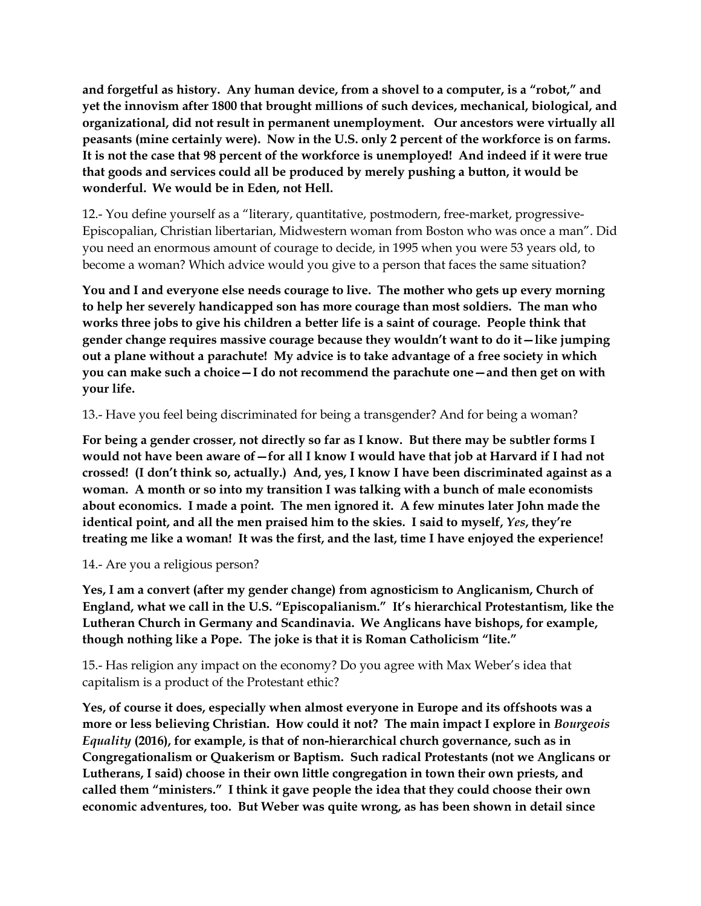**and forgetful as history. Any human device, from a shovel to a computer, is a "robot," and yet the innovism after 1800 that brought millions of such devices, mechanical, biological, and organizational, did not result in permanent unemployment. Our ancestors were virtually all peasants (mine certainly were). Now in the U.S. only 2 percent of the workforce is on farms. It is not the case that 98 percent of the workforce is unemployed! And indeed if it were true that goods and services could all be produced by merely pushing a button, it would be wonderful. We would be in Eden, not Hell.**

12.- You define yourself as a "literary, quantitative, postmodern, free-market, progressive-Episcopalian, Christian libertarian, Midwestern woman from Boston who was once a man". Did you need an enormous amount of courage to decide, in 1995 when you were 53 years old, to become a woman? Which advice would you give to a person that faces the same situation?

**You and I and everyone else needs courage to live. The mother who gets up every morning to help her severely handicapped son has more courage than most soldiers. The man who works three jobs to give his children a better life is a saint of courage. People think that gender change requires massive courage because they wouldn't want to do it—like jumping out a plane without a parachute! My advice is to take advantage of a free society in which you can make such a choice—I do not recommend the parachute one—and then get on with your life.** 

## 13.- Have you feel being discriminated for being a transgender? And for being a woman?

**For being a gender crosser, not directly so far as I know. But there may be subtler forms I would not have been aware of—for all I know I would have that job at Harvard if I had not crossed! (I don't think so, actually.) And, yes, I know I have been discriminated against as a woman. A month or so into my transition I was talking with a bunch of male economists about economics. I made a point. The men ignored it. A few minutes later John made the identical point, and all the men praised him to the skies. I said to myself,** *Yes***, they're treating me like a woman! It was the first, and the last, time I have enjoyed the experience!**

## 14.- Are you a religious person?

**Yes, I am a convert (after my gender change) from agnosticism to Anglicanism, Church of England, what we call in the U.S. "Episcopalianism." It's hierarchical Protestantism, like the Lutheran Church in Germany and Scandinavia. We Anglicans have bishops, for example, though nothing like a Pope. The joke is that it is Roman Catholicism "lite."** 

15.- Has religion any impact on the economy? Do you agree with Max Weber's idea that capitalism is a product of the Protestant ethic?

**Yes, of course it does, especially when almost everyone in Europe and its offshoots was a more or less believing Christian. How could it not? The main impact I explore in** *Bourgeois Equality* **(2016), for example, is that of non-hierarchical church governance, such as in Congregationalism or Quakerism or Baptism. Such radical Protestants (not we Anglicans or Lutherans, I said) choose in their own little congregation in town their own priests, and called them "ministers." I think it gave people the idea that they could choose their own economic adventures, too. But Weber was quite wrong, as has been shown in detail since**